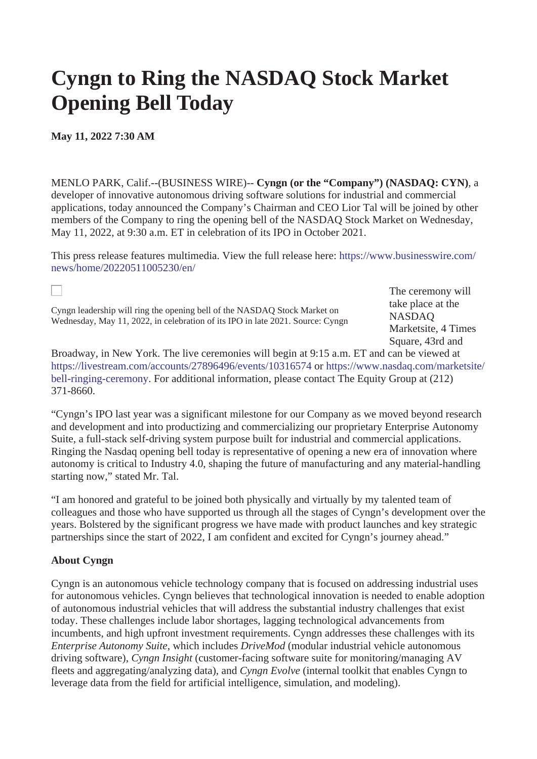## **Cyngn to Ring the NASDAQ Stock Market Opening Bell Today**

**May 11, 2022 7:30 AM**

MENLO PARK, Calif.--(BUSINESS WIRE)-- **Cyngn (or the "Company") (NASDAQ: CYN)**, a developer of innovative autonomous driving software solutions for industrial and commercial applications, today announced the Company's Chairman and CEO Lior Tal will be joined by other members of the Company to ring the opening bell of the NASDAQ Stock Market on Wednesday, May 11, 2022, at 9:30 a.m. ET in celebration of its IPO in October 2021.

[This press release features multimedia. View the full release here: https://www.businesswire.com/](https://www.businesswire.com/news/home/20220511005230/en/) news/home/20220511005230/en/

Cyngn leadership will ring the opening bell of the NASDAQ Stock Market on Wednesday, May 11, 2022, in celebration of its IPO in late 2021. Source: Cyngn The ceremony will take place at the NASDAQ Marketsite, 4 Times Square, 43rd and

Broadway, in New York. The live ceremonies will begin at 9:15 a.m. ET and can be viewed at [h](https://cts.businesswire.com/ct/CT?id=smartlink&url=https%3A%2F%2Fwww.nasdaq.com%2Fmarketsite%2Fbell-ringing-ceremony&esheet=52715081&newsitemid=20220511005230&lan=en-US&anchor=https%3A%2F%2Fwww.nasdaq.com%2Fmarketsite%2Fbell-ringing-ceremony&index=2&md5=57743af9272520d75a40e128c1ed0033)[ttps://livestream.com/accounts/27896496/events/10316574](https://cts.businesswire.com/ct/CT?id=smartlink&url=https%3A%2F%2Flivestream.com%2Faccounts%2F27896496%2Fevents%2F10316574&esheet=52715081&newsitemid=20220511005230&lan=en-US&anchor=https%3A%2F%2Flivestream.com%2Faccounts%2F27896496%2Fevents%2F10316574&index=1&md5=1649a6cabc85ed4f0b1d0941a28fe722) [or https://www.nasdaq.com/marketsite/](https://cts.businesswire.com/ct/CT?id=smartlink&url=https%3A%2F%2Fwww.nasdaq.com%2Fmarketsite%2Fbell-ringing-ceremony&esheet=52715081&newsitemid=20220511005230&lan=en-US&anchor=https%3A%2F%2Fwww.nasdaq.com%2Fmarketsite%2Fbell-ringing-ceremony&index=2&md5=57743af9272520d75a40e128c1ed0033) bell-ringing-ceremony. For additional information, please contact The Equity Group at (212) 371-8660.

"Cyngn's IPO last year was a significant milestone for our Company as we moved beyond research and development and into productizing and commercializing our proprietary Enterprise Autonomy Suite, a full-stack self-driving system purpose built for industrial and commercial applications. Ringing the Nasdaq opening bell today is representative of opening a new era of innovation where autonomy is critical to Industry 4.0, shaping the future of manufacturing and any material-handling starting now," stated Mr. Tal.

"I am honored and grateful to be joined both physically and virtually by my talented team of colleagues and those who have supported us through all the stages of Cyngn's development over the years. Bolstered by the significant progress we have made with product launches and key strategic partnerships since the start of 2022, I am confident and excited for Cyngn's journey ahead."

## **About Cyngn**

Cyngn is an autonomous vehicle technology company that is focused on addressing industrial uses for autonomous vehicles. Cyngn believes that technological innovation is needed to enable adoption of autonomous industrial vehicles that will address the substantial industry challenges that exist today. These challenges include labor shortages, lagging technological advancements from incumbents, and high upfront investment requirements. Cyngn addresses these challenges with its *Enterprise Autonomy Suite*, which includes *DriveMod* (modular industrial vehicle autonomous driving software), *Cyngn Insight* (customer-facing software suite for monitoring/managing AV fleets and aggregating/analyzing data), and *Cyngn Evolve* (internal toolkit that enables Cyngn to leverage data from the field for artificial intelligence, simulation, and modeling).